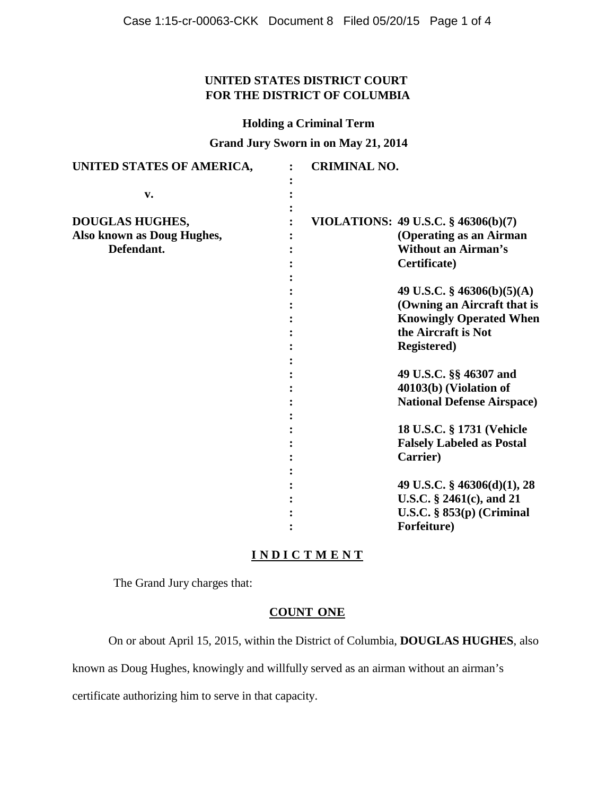## **UNITED STATES DISTRICT COURT FOR THE DISTRICT OF COLUMBIA**

#### **Holding a Criminal Term**

**Grand Jury Sworn in on May 21, 2014**

| UNITED STATES OF AMERICA,  | <b>CRIMINAL NO.</b> |                                     |
|----------------------------|---------------------|-------------------------------------|
| $\mathbf{v}$ .             |                     |                                     |
| DOUGLAS HUGHES,            |                     | VIOLATIONS: 49 U.S.C. § 46306(b)(7) |
| Also known as Doug Hughes, |                     | (Operating as an Airman             |
| Defendant.                 |                     | <b>Without an Airman's</b>          |
|                            |                     | Certificate)                        |
|                            |                     |                                     |
|                            |                     | 49 U.S.C. $\S$ 46306(b)(5)(A)       |
|                            |                     | (Owning an Aircraft that is         |
|                            |                     | <b>Knowingly Operated When</b>      |
|                            |                     | the Aircraft is Not                 |
|                            |                     | <b>Registered)</b>                  |
|                            |                     |                                     |
|                            |                     | 49 U.S.C. §§ 46307 and              |
|                            |                     | 40103(b) (Violation of              |
|                            |                     | <b>National Defense Airspace</b> )  |
|                            |                     |                                     |
|                            |                     | 18 U.S.C. § 1731 (Vehicle           |
|                            |                     | <b>Falsely Labeled as Postal</b>    |
|                            |                     | Carrier)                            |
|                            |                     |                                     |
|                            |                     | 49 U.S.C. $\S$ 46306(d)(1), 28      |
|                            |                     | U.S.C. $\S$ 2461(c), and 21         |
|                            |                     | U.S.C. $\S$ 853(p) (Criminal        |
|                            |                     | Forfeiture)                         |

# **I N D I C T M E N T**

The Grand Jury charges that:

## **COUNT ONE**

On or about April 15, 2015, within the District of Columbia, **DOUGLAS HUGHES**, also

known as Doug Hughes, knowingly and willfully served as an airman without an airman's

certificate authorizing him to serve in that capacity.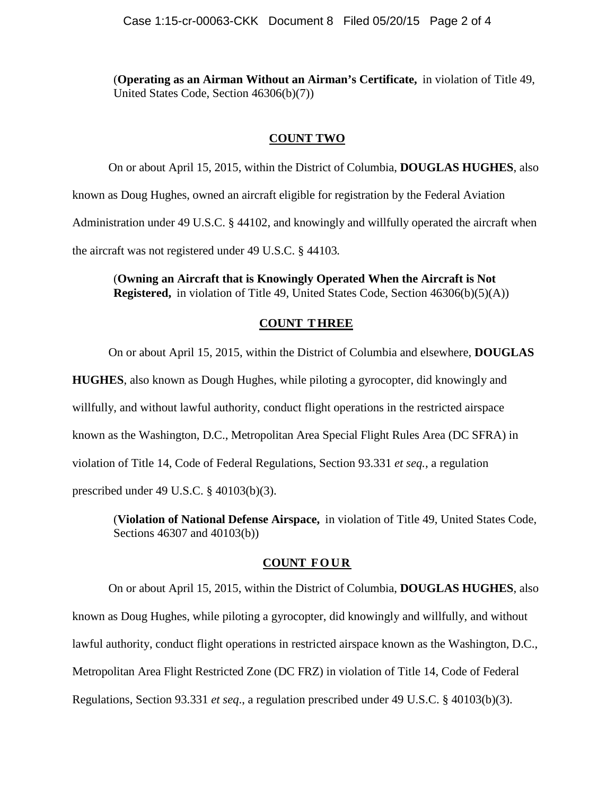(**Operating as an Airman Without an Airman's Certificate,** in violation of Title 49, United States Code, Section 46306(b)(7))

#### **COUNT TWO**

On or about April 15, 2015, within the District of Columbia, **DOUGLAS HUGHES**, also known as Doug Hughes, owned an aircraft eligible for registration by the Federal Aviation Administration under 49 U.S.C. § 44102, and knowingly and willfully operated the aircraft when the aircraft was not registered under 49 U.S.C. § 44103*.*

(**Owning an Aircraft that is Knowingly Operated When the Aircraft is Not Registered,** in violation of Title 49, United States Code, Section 46306(b)(5)(A))

#### **COUNT THREE**

On or about April 15, 2015, within the District of Columbia and elsewhere, **DOUGLAS** 

**HUGHES**, also known as Dough Hughes, while piloting a gyrocopter, did knowingly and willfully, and without lawful authority, conduct flight operations in the restricted airspace known as the Washington, D.C., Metropolitan Area Special Flight Rules Area (DC SFRA) in violation of Title 14, Code of Federal Regulations, Section 93.331 *et seq.*, a regulation prescribed under 49 U.S.C. § 40103(b)(3).

(**Violation of National Defense Airspace,** in violation of Title 49, United States Code, Sections 46307 and 40103(b))

#### **COUNT FOUR**

On or about April 15, 2015, within the District of Columbia, **DOUGLAS HUGHES**, also known as Doug Hughes, while piloting a gyrocopter, did knowingly and willfully, and without lawful authority, conduct flight operations in restricted airspace known as the Washington, D.C., Metropolitan Area Flight Restricted Zone (DC FRZ) in violation of Title 14, Code of Federal Regulations, Section 93.331 *et seq*., a regulation prescribed under 49 U.S.C. § 40103(b)(3).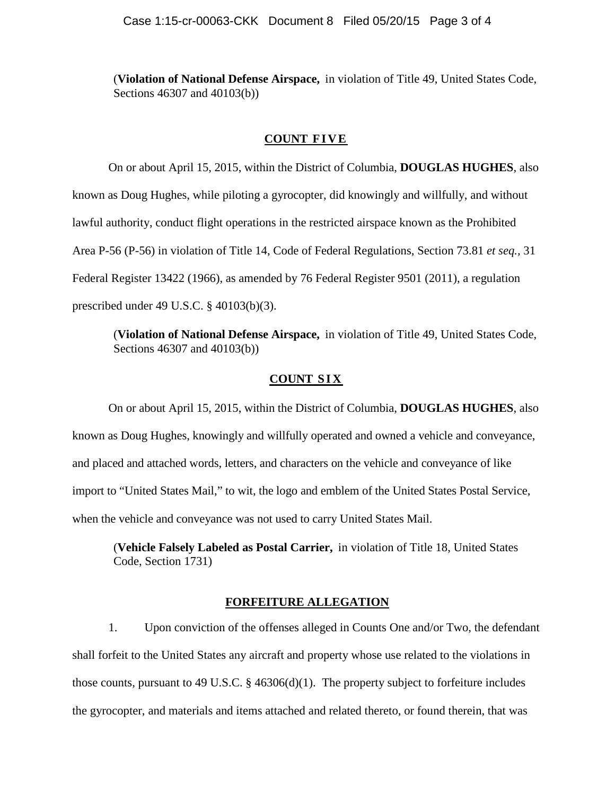(**Violation of National Defense Airspace,** in violation of Title 49, United States Code, Sections 46307 and 40103(b))

#### **COUNT FIVE**

On or about April 15, 2015, within the District of Columbia, **DOUGLAS HUGHES**, also known as Doug Hughes, while piloting a gyrocopter, did knowingly and willfully, and without lawful authority, conduct flight operations in the restricted airspace known as the Prohibited Area P-56 (P-56) in violation of Title 14, Code of Federal Regulations, Section 73.81 *et seq.,* 31 Federal Register 13422 (1966), as amended by 76 Federal Register 9501 (2011), a regulation prescribed under 49 U.S.C. § 40103(b)(3).

(**Violation of National Defense Airspace,** in violation of Title 49, United States Code, Sections 46307 and 40103(b))

#### **COUNT SIX**

On or about April 15, 2015, within the District of Columbia, **DOUGLAS HUGHES**, also known as Doug Hughes, knowingly and willfully operated and owned a vehicle and conveyance, and placed and attached words, letters, and characters on the vehicle and conveyance of like import to "United States Mail," to wit, the logo and emblem of the United States Postal Service, when the vehicle and conveyance was not used to carry United States Mail.

(**Vehicle Falsely Labeled as Postal Carrier,** in violation of Title 18, United States Code, Section 1731)

#### **FORFEITURE ALLEGATION**

1. Upon conviction of the offenses alleged in Counts One and/or Two, the defendant shall forfeit to the United States any aircraft and property whose use related to the violations in those counts, pursuant to 49 U.S.C.  $\S$  46306(d)(1). The property subject to forfeiture includes the gyrocopter, and materials and items attached and related thereto, or found therein, that was